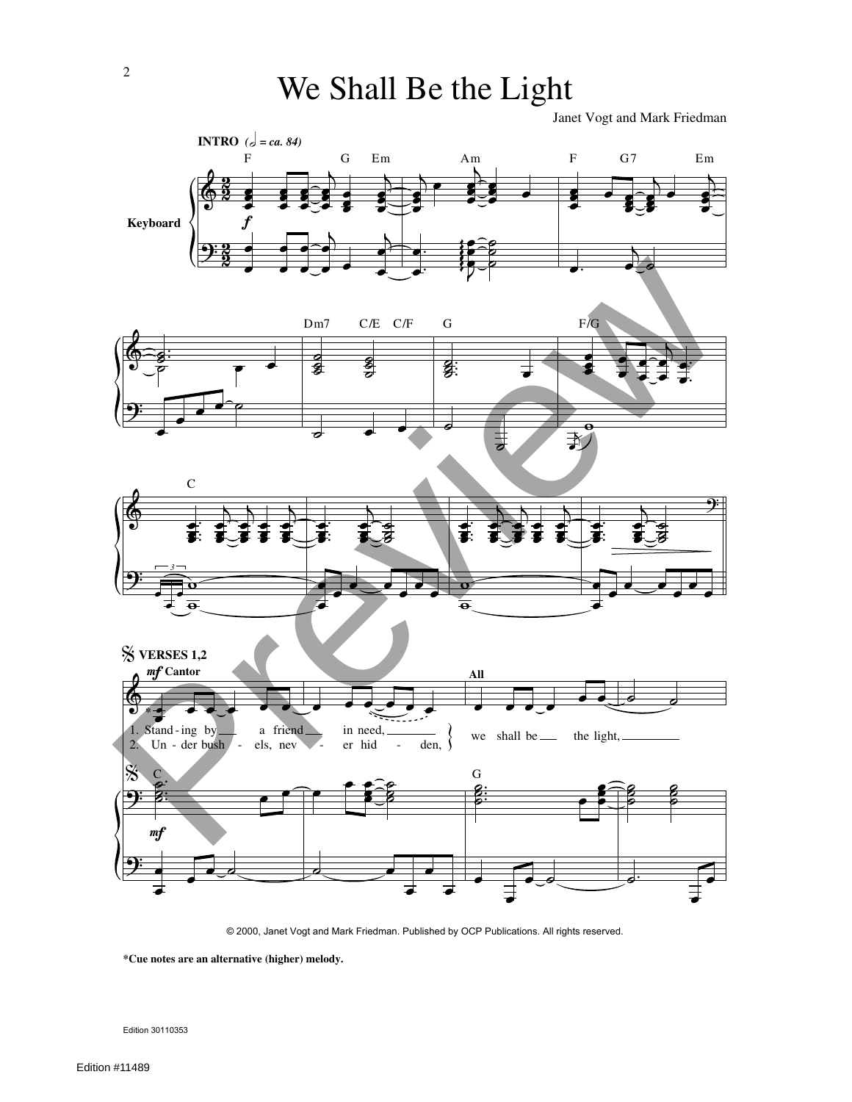Janet Vogt and Mark Friedman



© 2000, Janet Vogt and Mark Friedman. Published by OCP Publications. All rights reserved.

**\*Cue notes are an alternative (higher) melody.**

Edition 30110353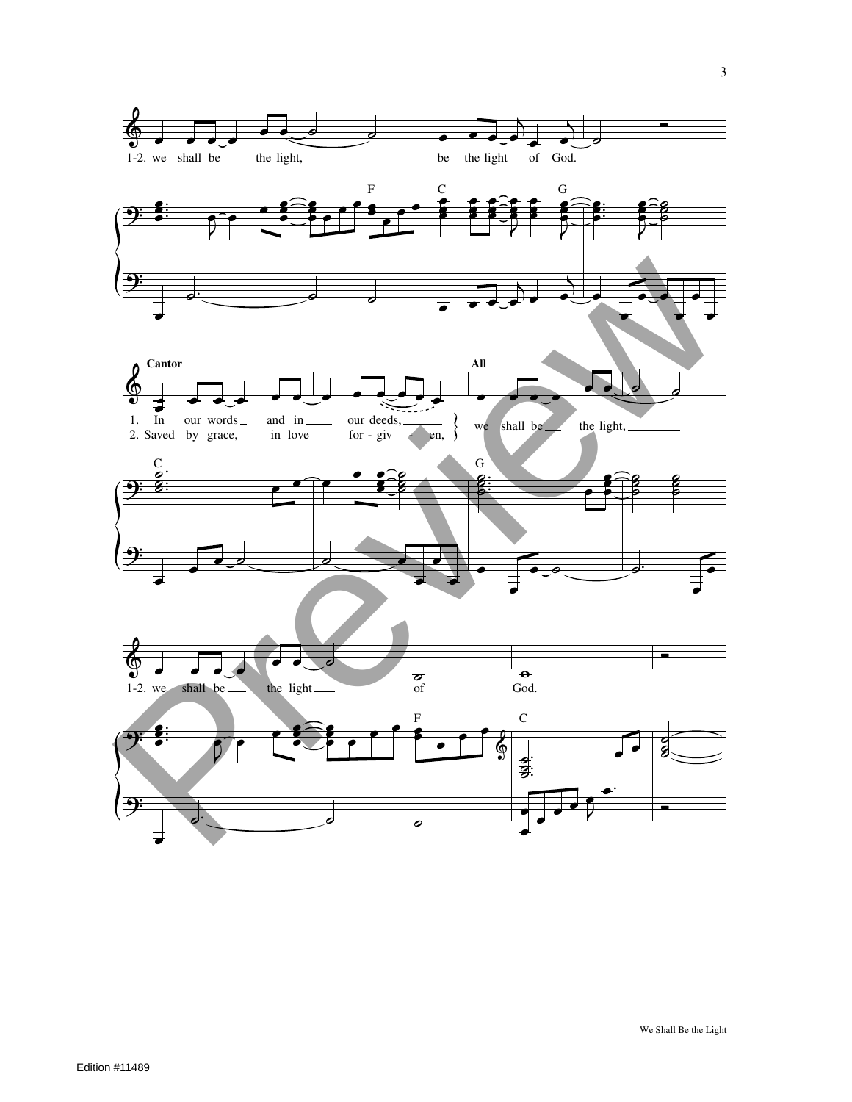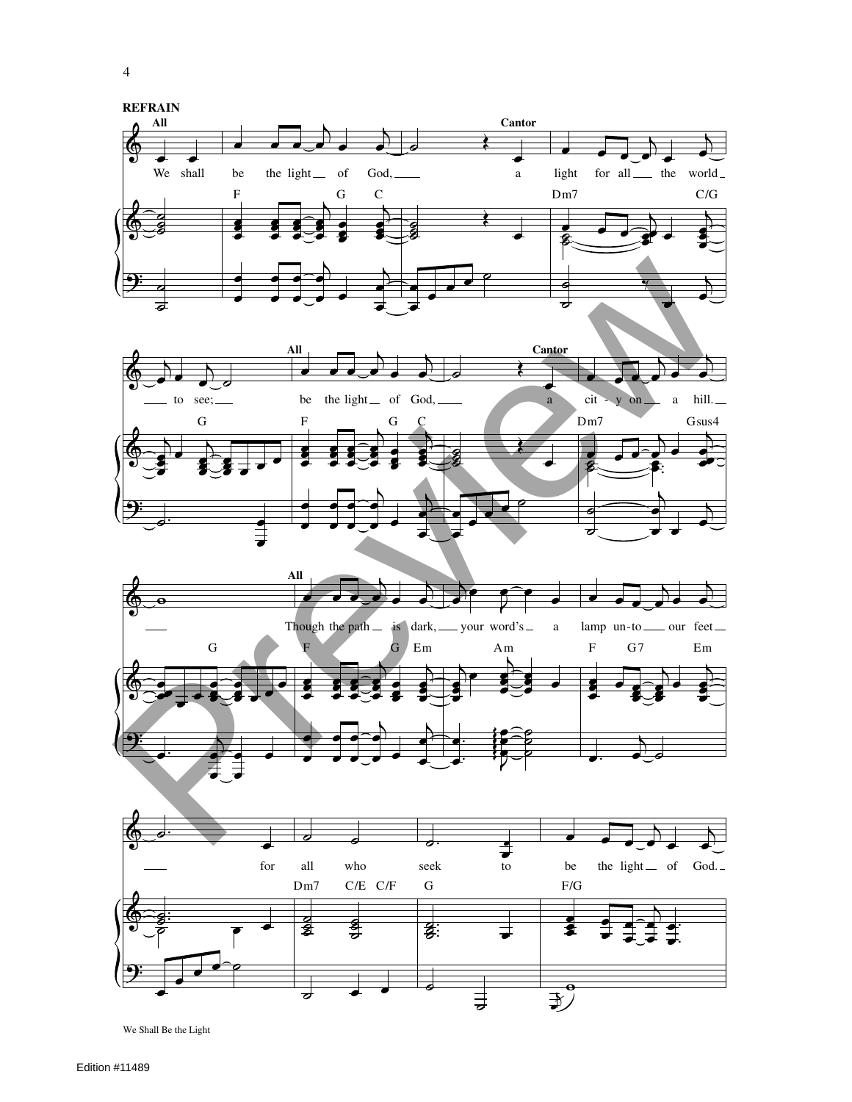







4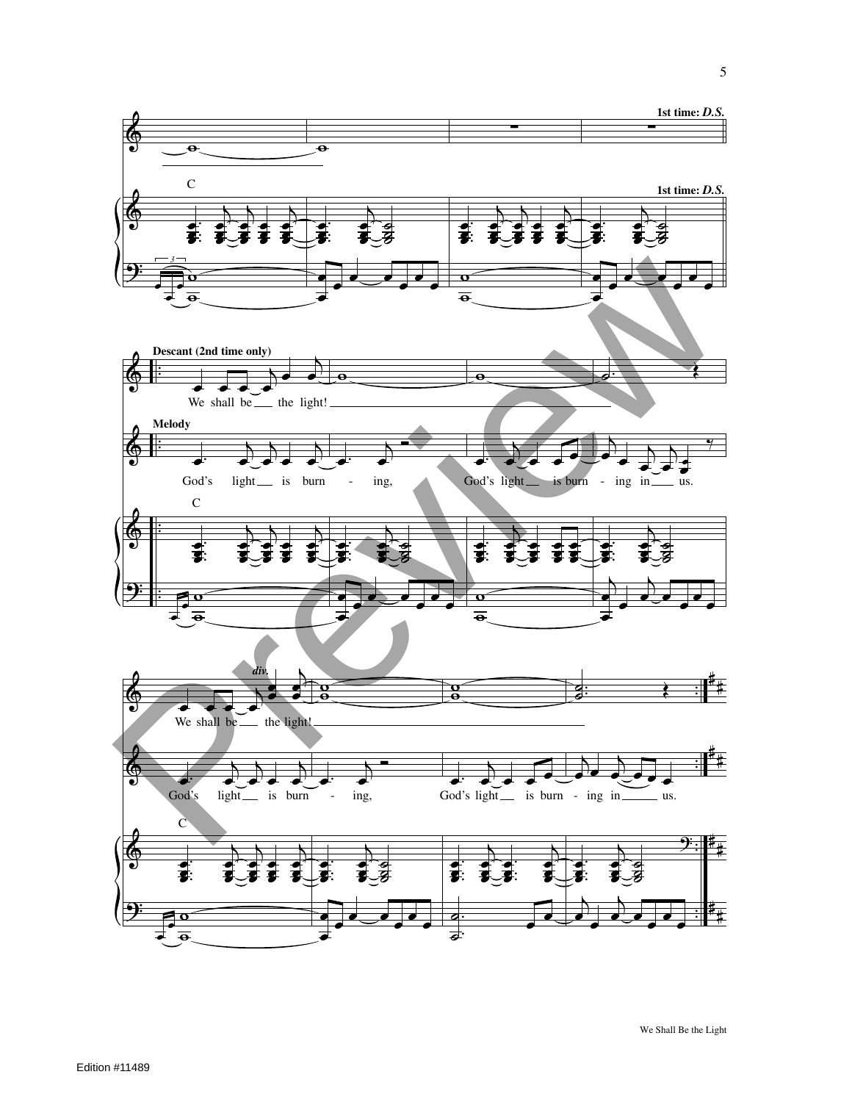

We Shall Be the Light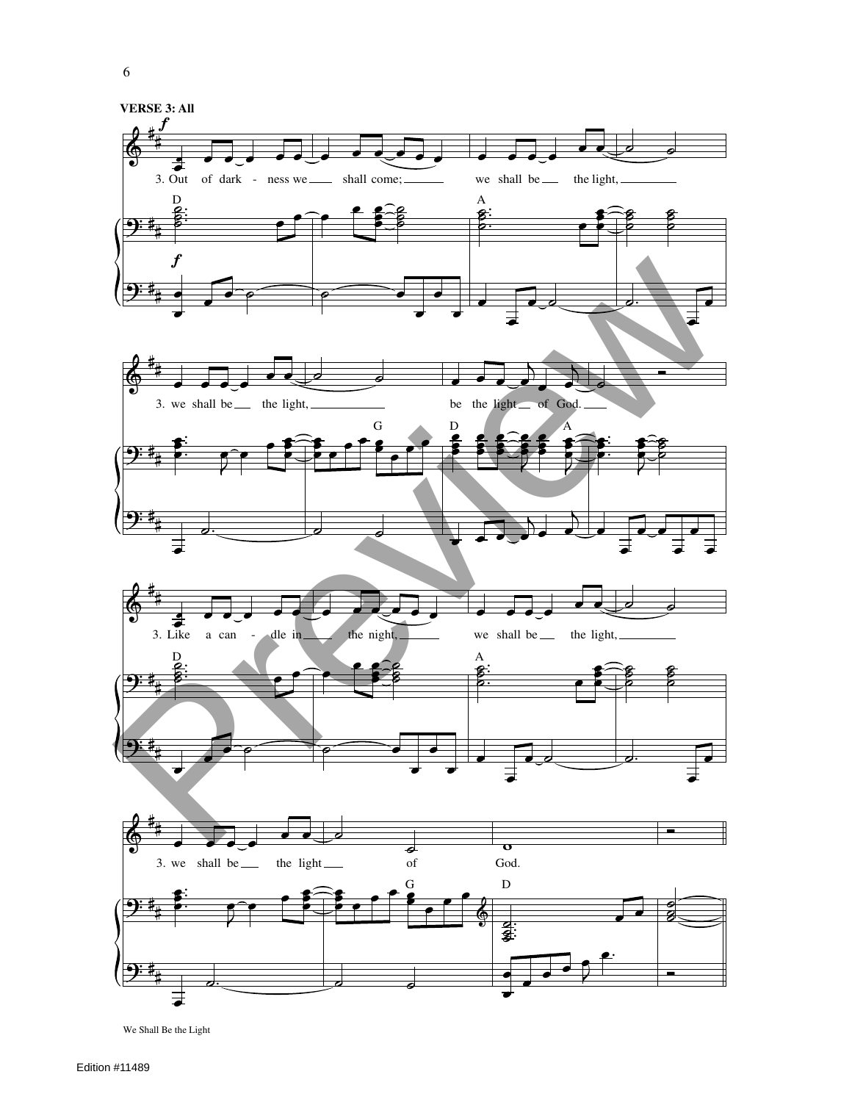

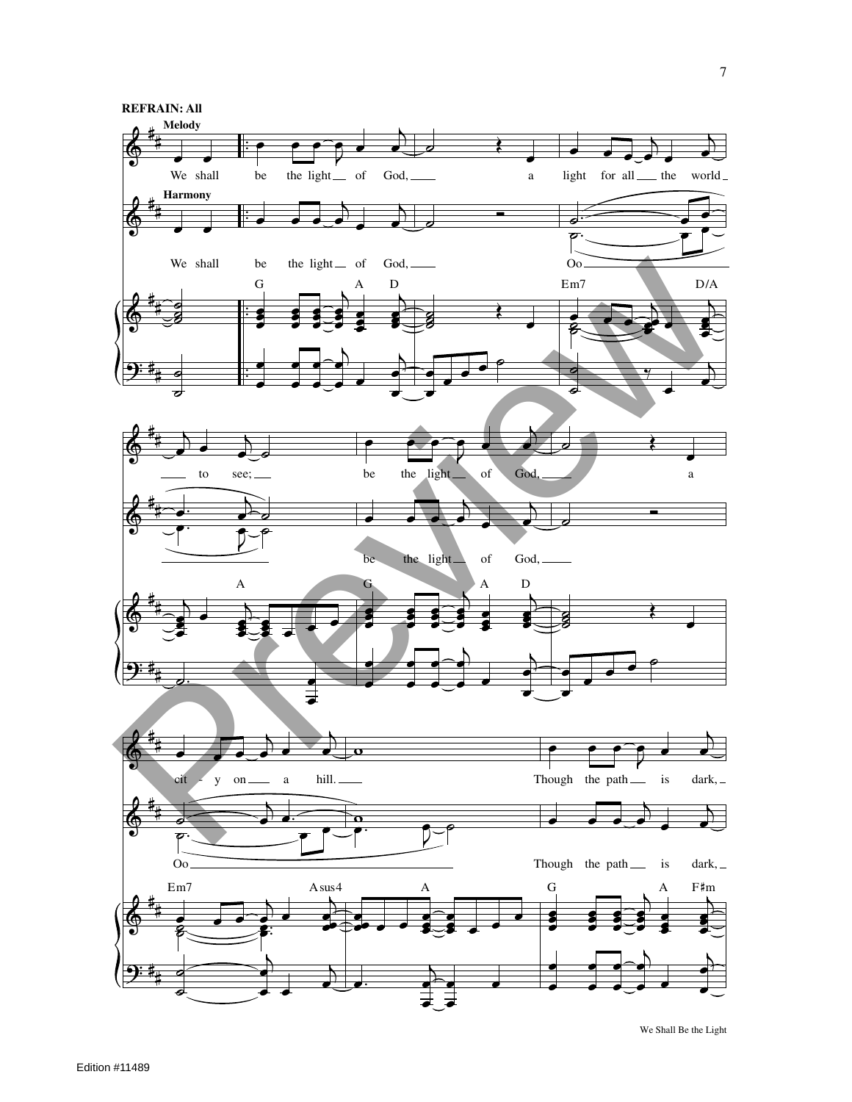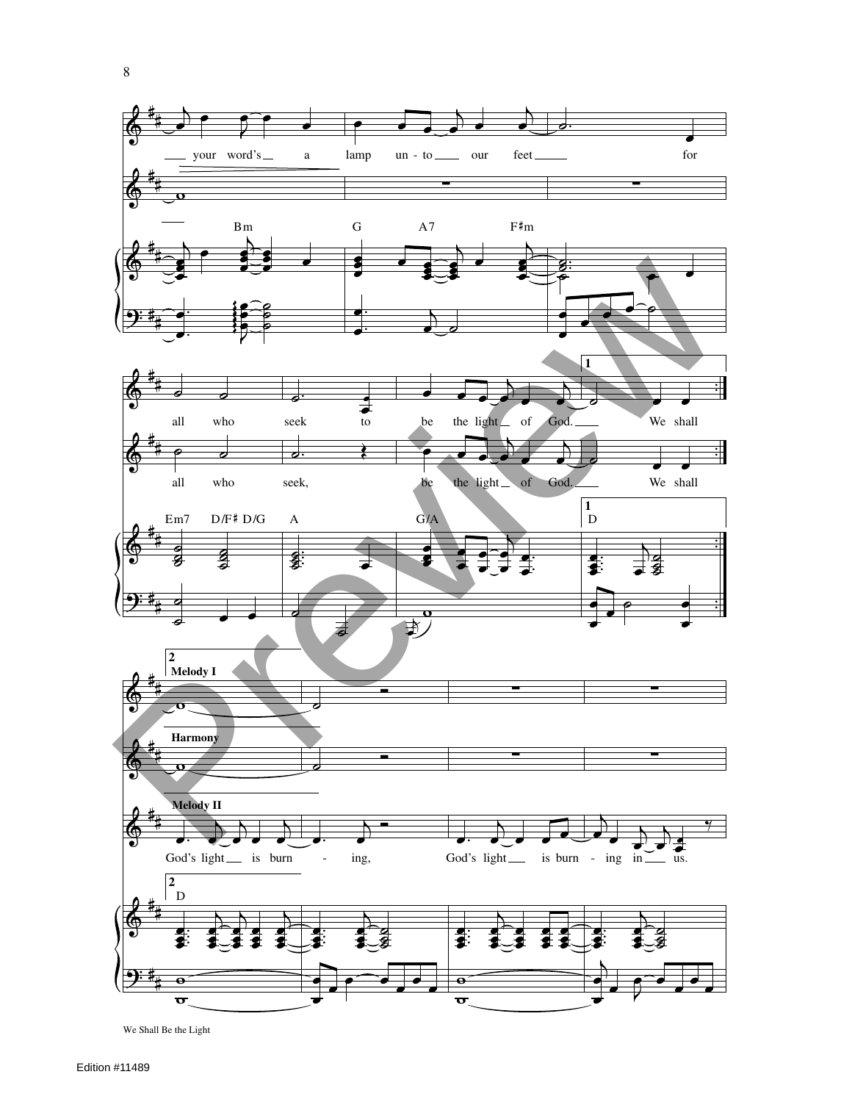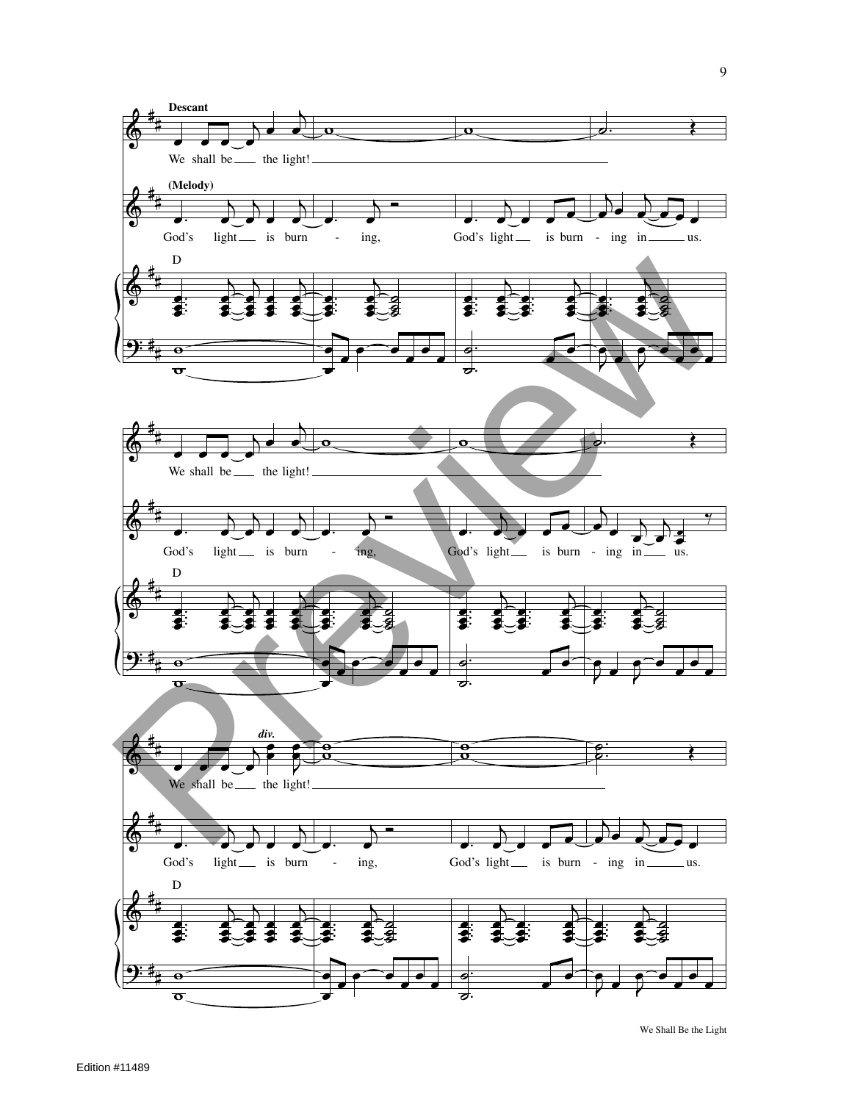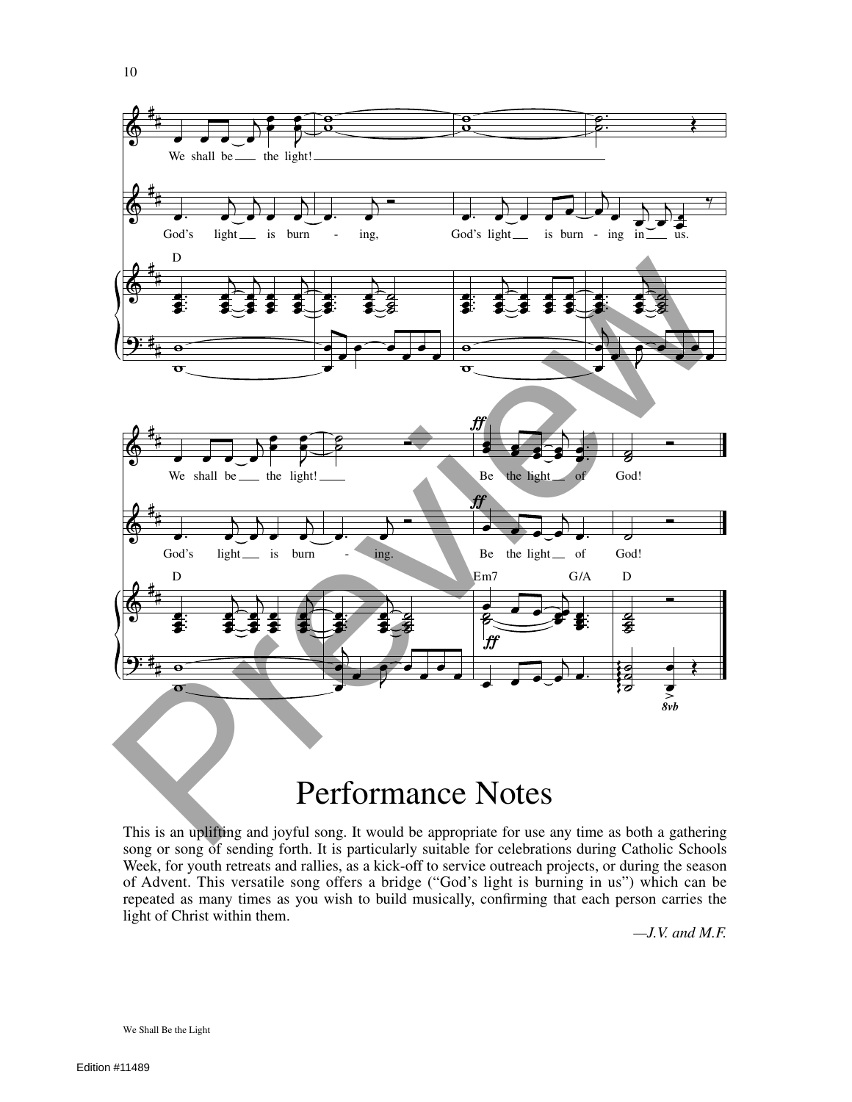

## Performance Notes

This is an uplifting and joyful song. It would be appropriate for use any time as both a gathering song or song of sending forth. It is particularly suitable for celebrations during Catholic Schools Week, for youth retreats and rallies, as a kick-off to service outreach projects, or during the season of Advent. This versatile song offers a bridge ("God's light is burning in us") which can be repeated as many times as you wish to build musically, confirming that each person carries the light of Christ within them.

*—J.V. and M.F.*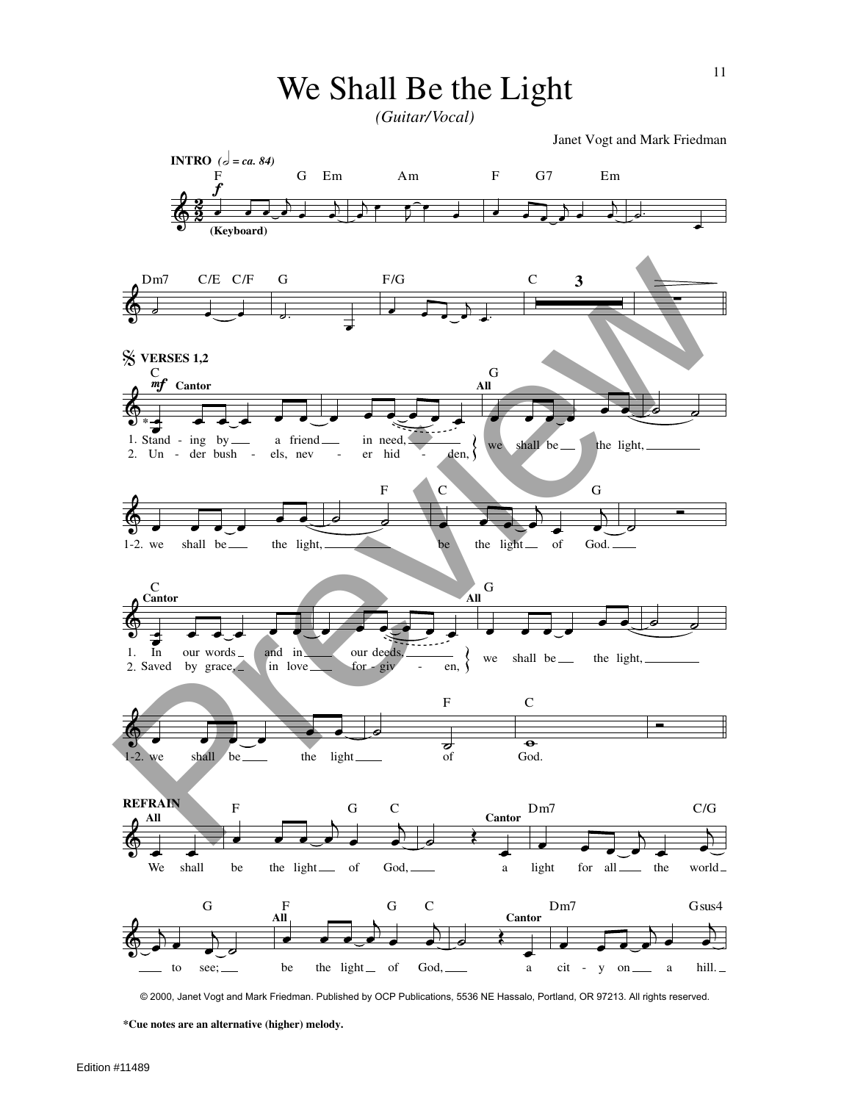*(Guitar/Vocal)*

Janet Vogt and Mark Friedman



© 2000, Janet Vogt and Mark Friedman. Published by OCP Publications, 5536 NE Hassalo, Portland, OR 97213. All rights reserved.

**\*Cue notes are an alternative (higher) melody.**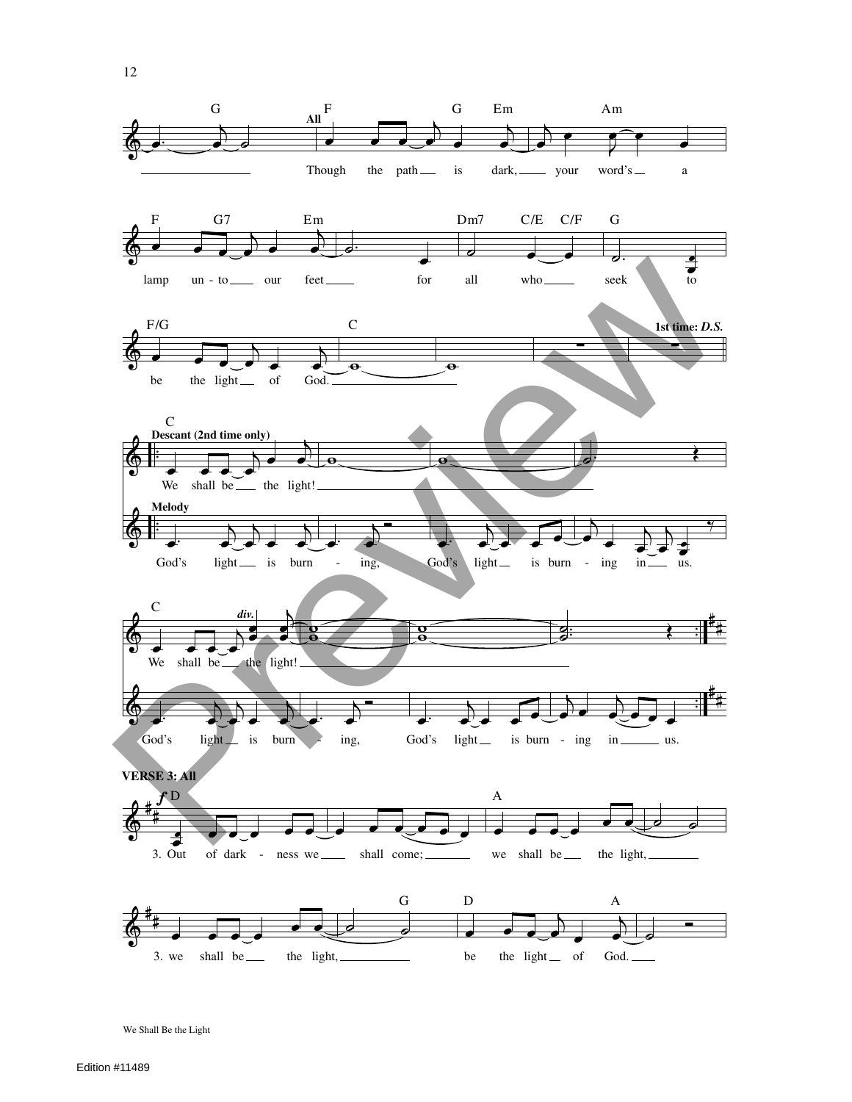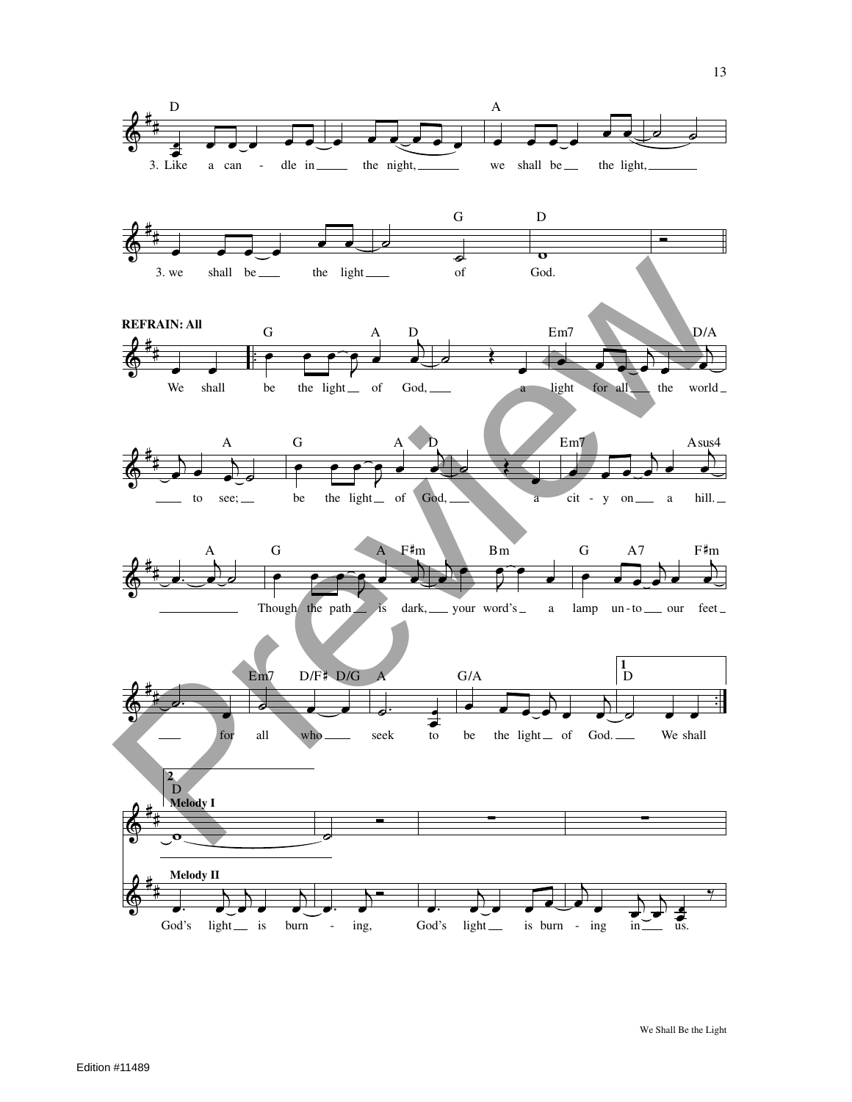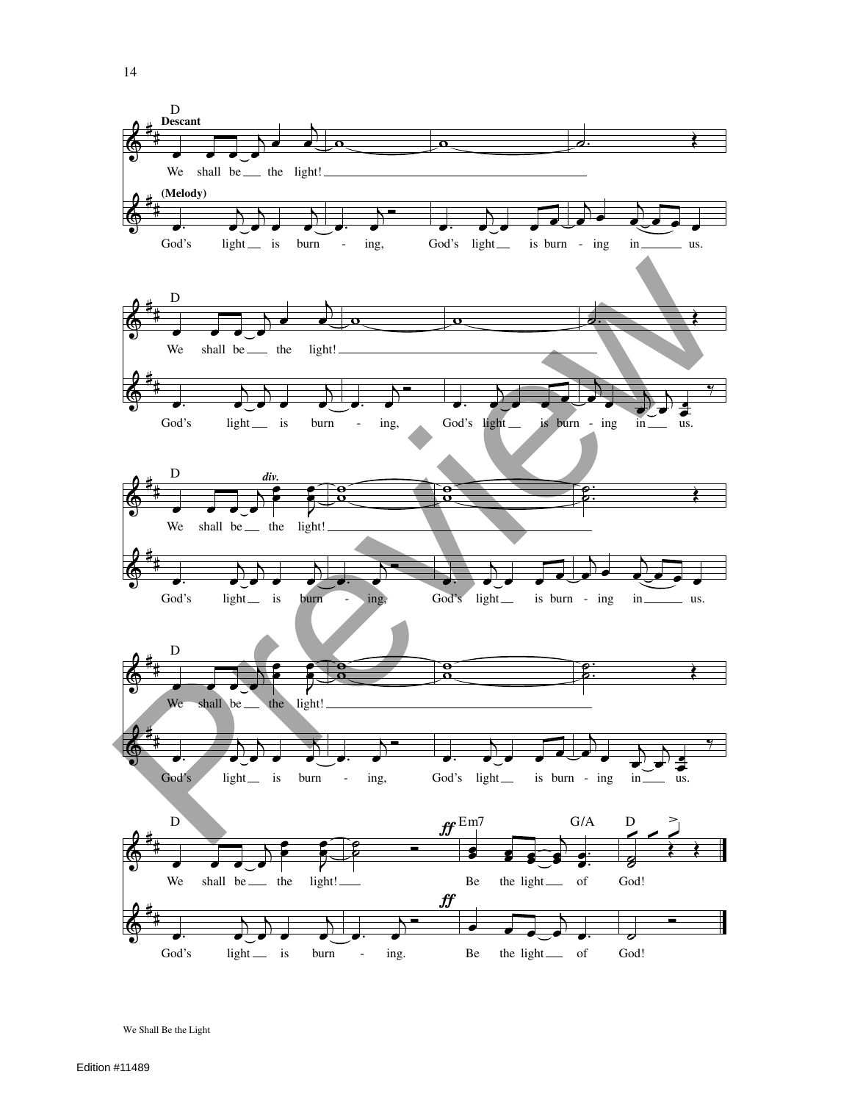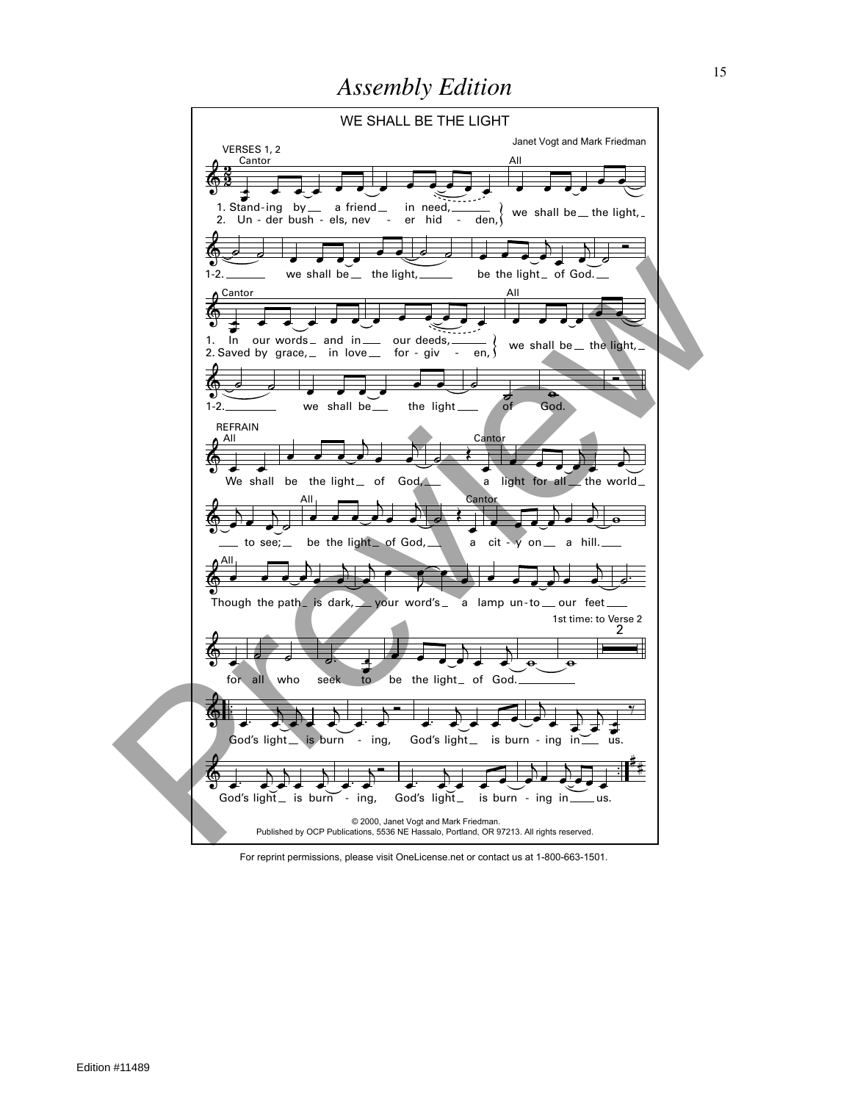

For reprint permissions, please visit OneLicense.net or contact us at 1-800-663-1501.